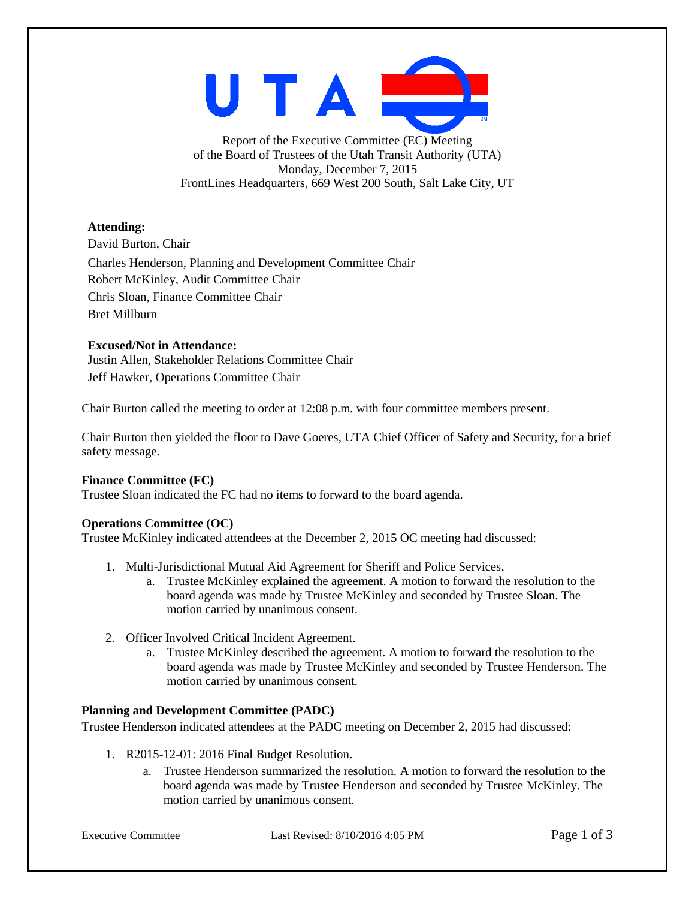

Report of the Executive Committee (EC) Meeting of the Board of Trustees of the Utah Transit Authority (UTA) Monday, December 7, 2015 FrontLines Headquarters, 669 West 200 South, Salt Lake City, UT

## **Attending:**

David Burton, Chair Charles Henderson, Planning and Development Committee Chair Robert McKinley, Audit Committee Chair Chris Sloan, Finance Committee Chair Bret Millburn

## **Excused/Not in Attendance:**

Justin Allen, Stakeholder Relations Committee Chair Jeff Hawker, Operations Committee Chair

Chair Burton called the meeting to order at 12:08 p.m. with four committee members present.

Chair Burton then yielded the floor to Dave Goeres, UTA Chief Officer of Safety and Security, for a brief safety message.

## **Finance Committee (FC)**

Trustee Sloan indicated the FC had no items to forward to the board agenda.

## **Operations Committee (OC)**

Trustee McKinley indicated attendees at the December 2, 2015 OC meeting had discussed:

- 1. Multi-Jurisdictional Mutual Aid Agreement for Sheriff and Police Services.
	- a. Trustee McKinley explained the agreement. A motion to forward the resolution to the board agenda was made by Trustee McKinley and seconded by Trustee Sloan. The motion carried by unanimous consent.
- 2. Officer Involved Critical Incident Agreement.
	- a. Trustee McKinley described the agreement. A motion to forward the resolution to the board agenda was made by Trustee McKinley and seconded by Trustee Henderson. The motion carried by unanimous consent.

# **Planning and Development Committee (PADC)**

Trustee Henderson indicated attendees at the PADC meeting on December 2, 2015 had discussed:

- 1. R2015-12-01: 2016 Final Budget Resolution.
	- a. Trustee Henderson summarized the resolution. A motion to forward the resolution to the board agenda was made by Trustee Henderson and seconded by Trustee McKinley. The motion carried by unanimous consent.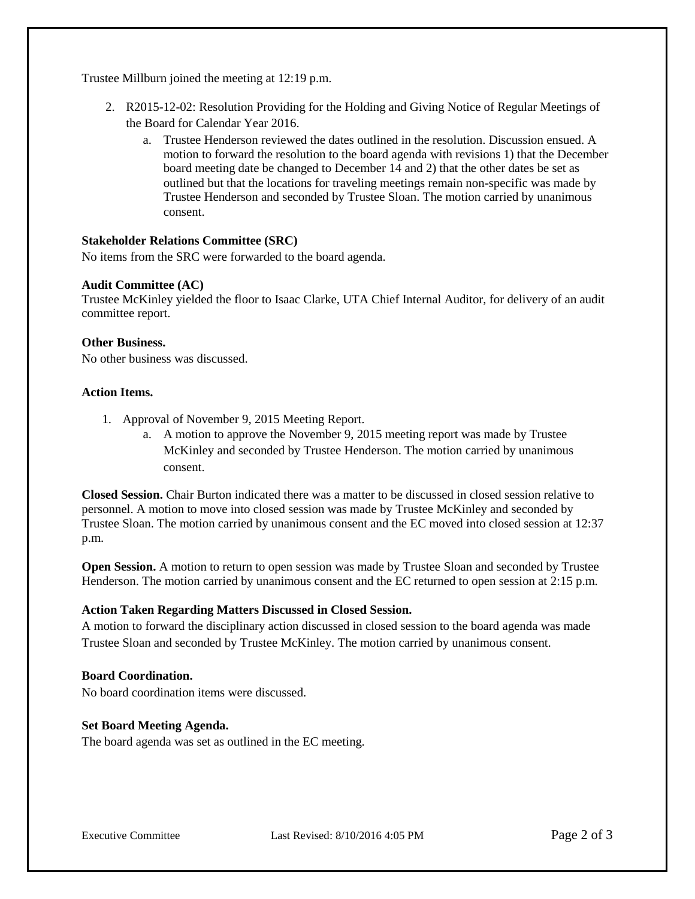Trustee Millburn joined the meeting at 12:19 p.m.

- 2. R2015-12-02: Resolution Providing for the Holding and Giving Notice of Regular Meetings of the Board for Calendar Year 2016.
	- a. Trustee Henderson reviewed the dates outlined in the resolution. Discussion ensued. A motion to forward the resolution to the board agenda with revisions 1) that the December board meeting date be changed to December 14 and 2) that the other dates be set as outlined but that the locations for traveling meetings remain non-specific was made by Trustee Henderson and seconded by Trustee Sloan. The motion carried by unanimous consent.

### **Stakeholder Relations Committee (SRC)**

No items from the SRC were forwarded to the board agenda.

#### **Audit Committee (AC)**

Trustee McKinley yielded the floor to Isaac Clarke, UTA Chief Internal Auditor, for delivery of an audit committee report.

#### **Other Business.**

No other business was discussed.

#### **Action Items.**

- 1. Approval of November 9, 2015 Meeting Report.
	- a. A motion to approve the November 9, 2015 meeting report was made by Trustee McKinley and seconded by Trustee Henderson. The motion carried by unanimous consent.

**Closed Session.** Chair Burton indicated there was a matter to be discussed in closed session relative to personnel. A motion to move into closed session was made by Trustee McKinley and seconded by Trustee Sloan. The motion carried by unanimous consent and the EC moved into closed session at 12:37 p.m.

**Open Session.** A motion to return to open session was made by Trustee Sloan and seconded by Trustee Henderson. The motion carried by unanimous consent and the EC returned to open session at 2:15 p.m.

#### **Action Taken Regarding Matters Discussed in Closed Session.**

A motion to forward the disciplinary action discussed in closed session to the board agenda was made Trustee Sloan and seconded by Trustee McKinley. The motion carried by unanimous consent.

## **Board Coordination.**

No board coordination items were discussed.

#### **Set Board Meeting Agenda.**

The board agenda was set as outlined in the EC meeting.